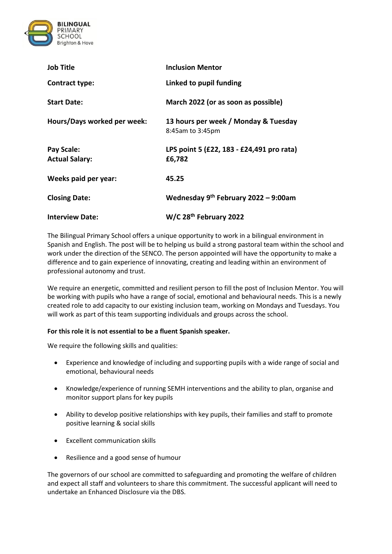

| <b>Job Title</b>                    | <b>Inclusion Mentor</b>                                  |
|-------------------------------------|----------------------------------------------------------|
| Contract type:                      | Linked to pupil funding                                  |
| <b>Start Date:</b>                  | March 2022 (or as soon as possible)                      |
| Hours/Days worked per week:         | 13 hours per week / Monday & Tuesday<br>8:45am to 3:45pm |
| Pay Scale:<br><b>Actual Salary:</b> | LPS point 5 (£22, 183 - £24,491 pro rata)<br>£6,782      |
| Weeks paid per year:                | 45.25                                                    |
| <b>Closing Date:</b>                | Wednesday 9 <sup>th</sup> February 2022 - 9:00am         |
| <b>Interview Date:</b>              | W/C 28 <sup>th</sup> February 2022                       |

The Bilingual Primary School offers a unique opportunity to work in a bilingual environment in Spanish and English. The post will be to helping us build a strong pastoral team within the school and work under the direction of the SENCO. The person appointed will have the opportunity to make a difference and to gain experience of innovating, creating and leading within an environment of professional autonomy and trust.

We require an energetic, committed and resilient person to fill the post of Inclusion Mentor. You will be working with pupils who have a range of social, emotional and behavioural needs. This is a newly created role to add capacity to our existing inclusion team, working on Mondays and Tuesdays. You will work as part of this team supporting individuals and groups across the school.

## **For this role it is not essential to be a fluent Spanish speaker.**

We require the following skills and qualities:

- Experience and knowledge of including and supporting pupils with a wide range of social and emotional, behavioural needs
- Knowledge/experience of running SEMH interventions and the ability to plan, organise and monitor support plans for key pupils
- Ability to develop positive relationships with key pupils, their families and staff to promote positive learning & social skills
- Excellent communication skills
- Resilience and a good sense of humour

The governors of our school are committed to safeguarding and promoting the welfare of children and expect all staff and volunteers to share this commitment. The successful applicant will need to undertake an Enhanced Disclosure via the DBS.